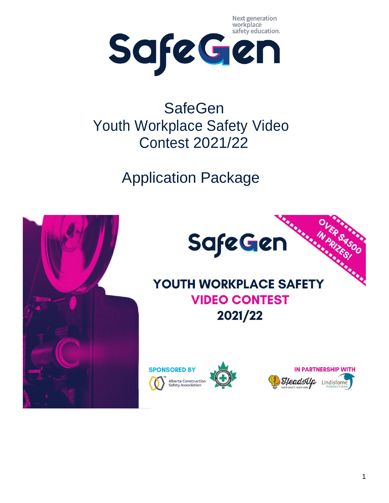Next generation



# **SafeGen** Youth Workplace Safety Video Contest 2021/22

Application Package

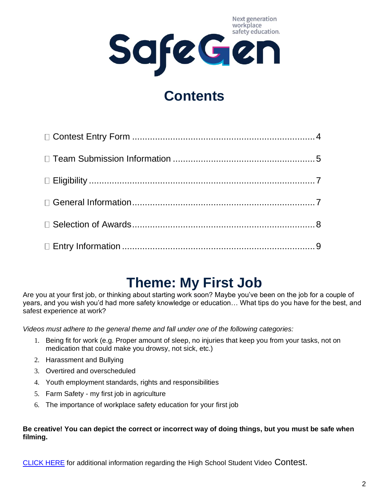Next generation workplace safety education. SafeGen

## **Contents**

## **Theme: My First Job**

Are you at your first job, or thinking about starting work soon? Maybe you've been on the job for a couple of years, and you wish you'd had more safety knowledge or education… What tips do you have for the best, and safest experience at work?

*Videos must adhere to the general theme and fall under one of the following categories:*

- 1. Being fit for work (e.g. Proper amount of sleep, no injuries that keep you from your tasks, not on medication that could make you drowsy, not sick, etc.)
- 2. Harassment and Bullying
- 3. Overtired and overscheduled
- 4. Youth employment standards, rights and responsibilities
- 5. Farm Safety my first job in agriculture
- 6. The importance of workplace safety education for your first job

#### **Be creative! You can depict the correct or incorrect way of doing things, but you must be safe when filming.**

[CLICK HERE](https://safegen.ca/video-contest/) for additional information regarding the High School Student Video Contest.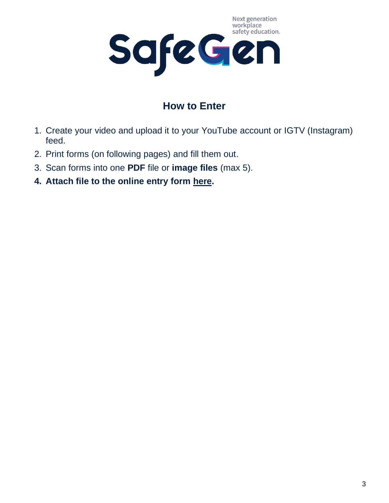

## **How to Enter**

- 1. Create your video and upload it to your YouTube account or IGTV (Instagram) feed.
- 2. Print forms (on following pages) and fill them out.
- 3. Scan forms into one **PDF** file or **image files** (max 5).
- **4. Attach file to the online entry form [here.](https://safegen.ca/video-contest/)**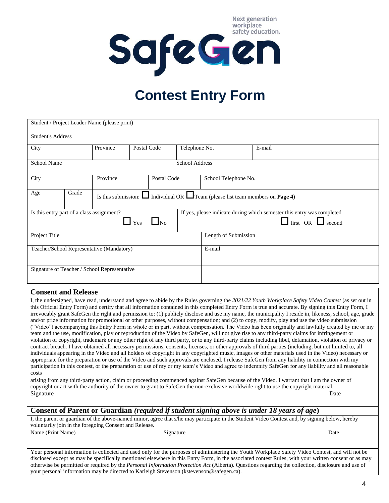Next generation workplace safety education. SafeGen

# **Contest Entry Form**

| Student / Project Leader Name (please print)                      |                |                                                                                                   |  |               |                      |                                                                                                         |  |  |  |
|-------------------------------------------------------------------|----------------|---------------------------------------------------------------------------------------------------|--|---------------|----------------------|---------------------------------------------------------------------------------------------------------|--|--|--|
| <b>Student's Address</b>                                          |                |                                                                                                   |  |               |                      |                                                                                                         |  |  |  |
| Province<br>City                                                  |                | Postal Code                                                                                       |  | Telephone No. |                      | E-mail                                                                                                  |  |  |  |
| <b>School Name</b>                                                | School Address |                                                                                                   |  |               |                      |                                                                                                         |  |  |  |
| City                                                              | Province       |                                                                                                   |  | Postal Code   |                      | School Telephone No.                                                                                    |  |  |  |
| Age                                                               | Grade          | Is this submission: $\Box$ Individual OR $\Box$ Team (please list team members on <b>Page 4</b> ) |  |               |                      |                                                                                                         |  |  |  |
| Is this entry part of a class assignment?<br>$\Box$ Yes $\Box$ No |                |                                                                                                   |  |               |                      | If yes, please indicate during which semester this entry was completed<br>$\Box$ first OR $\Box$ second |  |  |  |
| Project Title                                                     |                |                                                                                                   |  |               | Length of Submission |                                                                                                         |  |  |  |
| Teacher/School Representative (Mandatory)                         |                |                                                                                                   |  |               | E-mail               |                                                                                                         |  |  |  |
| Signature of Teacher / School Representative                      |                |                                                                                                   |  |               |                      |                                                                                                         |  |  |  |

#### **Consent and Release**

I, the undersigned, have read, understand and agree to abide by the Rules governing the *2021/22 Youth Workplace Safety Video Contest* (as set out in this Official Entry Form) and certify that all information contained in this completed Entry Form is true and accurate. By signing this Entry Form, I irrevocably grant SafeGen the right and permission to: (1) publicly disclose and use my name, the municipality I reside in, likeness, school, age, grade and/or prize information for promotional or other purposes, without compensation; and (2) to copy, modify, play and use the video submission ("Video") accompanying this Entry Form in whole or in part, without compensation. The Video has been originally and lawfully created by me or my team and the use, modification, play or reproduction of the Video by SafeGen, will not give rise to any third-party claims for infringement or violation of copyright, trademark or any other right of any third party, or to any third-party claims including libel, defamation, violation of privacy or contract breach. I have obtained all necessary permissions, consents, licenses, or other approvals of third parties (including, but not limited to, all individuals appearing in the Video and all holders of copyright in any copyrighted music, images or other materials used in the Video) necessary or appropriate for the preparation or use of the Video and such approvals are enclosed. I release SafeGen from any liability in connection with my participation in this contest, or the preparation or use of my or my team's Video and agree to indemnify SafeGen for any liability and all reasonable costs arising from any third-party action, claim or proceeding commenced against SafeGen because of the Video. I warrant that I am the owner of copyright or act with the authority of the owner to grant to SafeGen the non-exclusive worldwide right to use the copyright material. Signature Date

#### **Consent of Parent or Guardian** *(required if student signing above is under 18 years of age***)**

I, the parent or guardian of the above-named minor, agree that s/he may participate in the Student Video Contest and, by signing below, hereby voluntarily join in the foregoing Consent and Release.

Name (Print Name) Signature Signature Date

Your personal information is collected and used only for the purposes of administering the Youth Workplace Safety Video Contest, and will not be disclosed except as may be specifically mentioned elsewhere in this Entry Form, in the associated contest Rules, with your written consent or as may otherwise be permitted or required by the *Personal Information Protection Act* (Alberta). Questions regarding the collection, disclosure and use of your personal information may be directed to Karleigh Stevenson (kstevenson@safegen.ca).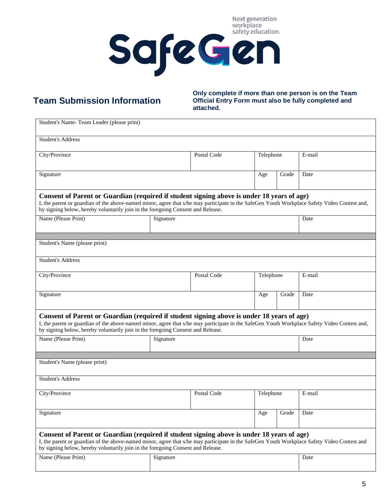

## **Team Submission Information**

**Only complete if more than one person is on the Team Official Entry Form must also be fully completed and attached.**

| Student's Name-Team Leader (please print)                                                                                                                                                                                                                                                                                     |             |             |           |        |        |  |  |  |
|-------------------------------------------------------------------------------------------------------------------------------------------------------------------------------------------------------------------------------------------------------------------------------------------------------------------------------|-------------|-------------|-----------|--------|--------|--|--|--|
| <b>Student's Address</b>                                                                                                                                                                                                                                                                                                      |             |             |           |        |        |  |  |  |
| City/Province                                                                                                                                                                                                                                                                                                                 | Postal Code | Telephone   |           | E-mail |        |  |  |  |
| Signature                                                                                                                                                                                                                                                                                                                     |             |             | Age       | Grade  | Date   |  |  |  |
| Consent of Parent or Guardian (required if student signing above is under 18 years of age)<br>I, the parent or guardian of the above-named minor, agree that s/he may participate in the SafeGen Youth Workplace Safety Video Contest and,<br>by signing below, hereby voluntarily join in the foregoing Consent and Release. |             |             |           |        |        |  |  |  |
| Name (Please Print)                                                                                                                                                                                                                                                                                                           | Signature   |             |           |        |        |  |  |  |
| Student's Name (please print)                                                                                                                                                                                                                                                                                                 |             |             |           |        |        |  |  |  |
| <b>Student's Address</b>                                                                                                                                                                                                                                                                                                      |             |             |           |        |        |  |  |  |
| City/Province                                                                                                                                                                                                                                                                                                                 |             | Postal Code | Telephone |        | E-mail |  |  |  |
| Signature                                                                                                                                                                                                                                                                                                                     |             |             | Age       | Grade  | Date   |  |  |  |
| Consent of Parent or Guardian (required if student signing above is under 18 years of age)<br>I, the parent or guardian of the above-named minor, agree that s/he may participate in the SafeGen Youth Workplace Safety Video Contest and,<br>by signing below, hereby voluntarily join in the foregoing Consent and Release. |             |             |           |        |        |  |  |  |
| Name (Please Print)                                                                                                                                                                                                                                                                                                           | Signature   |             |           |        | Date   |  |  |  |
| Student's Name (please print)                                                                                                                                                                                                                                                                                                 |             |             |           |        |        |  |  |  |
| <b>Student's Address</b>                                                                                                                                                                                                                                                                                                      |             |             |           |        |        |  |  |  |
| City/Province                                                                                                                                                                                                                                                                                                                 | Postal Code | Telephone   |           | E-mail |        |  |  |  |
| Signature                                                                                                                                                                                                                                                                                                                     | Age         | Grade       | Date      |        |        |  |  |  |
| Consent of Parent or Guardian (required if student signing above is under 18 years of age)<br>I, the parent or guardian of the above-named minor, agree that s/he may participate in the SafeGen Youth Workplace Safety Video Contest and<br>by signing below, hereby voluntarily join in the foregoing Consent and Release.  |             |             |           |        |        |  |  |  |
| Name (Please Print)                                                                                                                                                                                                                                                                                                           | Signature   |             |           |        | Date   |  |  |  |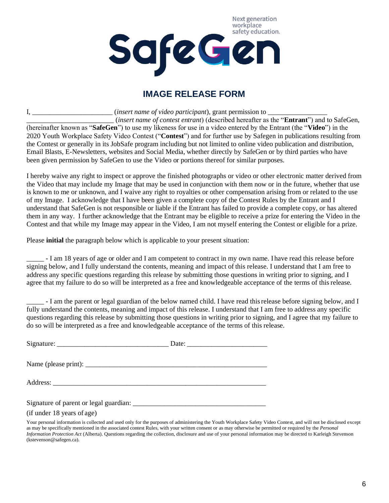

#### **IMAGE RELEASE FORM**

I, \_\_\_\_\_\_\_\_\_\_\_\_\_\_\_\_\_\_\_\_\_\_\_ (*insert name of video participant*), grant permission to \_\_\_\_\_\_\_\_\_\_\_\_\_\_\_\_\_ \_\_\_\_\_\_\_\_\_\_\_\_\_\_\_\_\_\_\_\_\_\_\_\_\_ (*insert name of contest entrant*) (described hereafter as the "**Entrant**") and to SafeGen, (hereinafter known as "**SafeGen**") to use my likeness for use in a video entered by the Entrant (the "**Video**") in the 2020 Youth Workplace Safety Video Contest ("**Contest**") and for further use by Safegen in publications resulting from the Contest or generally in its JobSafe program including but not limited to online video publication and distribution, Email Blasts, E-Newsletters, websites and Social Media, whether directly by SafeGen or by third parties who have been given permission by SafeGen to use the Video or portions thereof for similar purposes.

I hereby waive any right to inspect or approve the finished photographs or video or other electronic matter derived from the Video that may include my Image that may be used in conjunction with them now or in the future, whether that use is known to me or unknown, and I waive any right to royalties or other compensation arising from or related to the use of my Image. I acknowledge that I have been given a complete copy of the Contest Rules by the Entrant and I understand that SafeGen is not responsible or liable if the Entrant has failed to provide a complete copy, or has altered them in any way. I further acknowledge that the Entrant may be eligible to receive a prize for entering the Video in the Contest and that while my Image may appear in the Video, I am not myself entering the Contest or eligible for a prize.

Please **initial** the paragraph below which is applicable to your present situation:

\_\_\_\_\_ - I am 18 years of age or older and I am competent to contract in my own name. I have read this release before signing below, and I fully understand the contents, meaning and impact of this release. I understand that I am free to address any specific questions regarding this release by submitting those questions in writing prior to signing, and I agree that my failure to do so will be interpreted as a free and knowledgeable acceptance of the terms of this release.

\_\_\_\_\_ - I am the parent or legal guardian of the below named child. I have read thisrelease before signing below, and I fully understand the contents, meaning and impact of this release. I understand that I am free to address any specific questions regarding this release by submitting those questions in writing prior to signing, and I agree that my failure to do so will be interpreted as a free and knowledgeable acceptance of the terms of this release.

| Signature of parent or legal guardian:<br>(if under 18 years of age) |  |
|----------------------------------------------------------------------|--|

Your personal information is collected and used only for the purposes of administering the Youth Workplace Safety Video Contest, and will not be disclosed except as may be specifically mentioned in the associated contest Rules, with your written consent or as may otherwise be permitted or required by the *Personal Information Protection Act* (Alberta). Questions regarding the collection, disclosure and use of your personal information may be directed to Karleigh Stevenson (kstevenson@safegen.ca).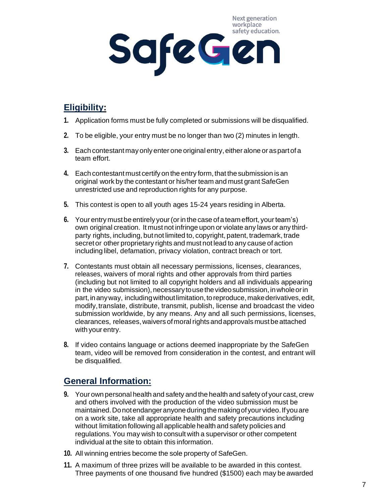Next generation workplace safety education. SafeGen

### <span id="page-6-0"></span>**Eligibility:**

- **1.** Application forms must be fully completed or submissions will be disqualified.
- **2.** To be eligible, your entry must be no longer than two (2) minutes in length.
- **3.** Each contestant may only enter one original entry, either alone or as part of a team effort.
- **4.** Each contestant must certify on the entry form, that the submission is an original work by the contestant or his/her team and must grant SafeGen unrestricted use and reproduction rights for any purpose.
- **5.** This contest is open to all youth ages 15-24 years residing in Alberta.
- **6.** Your entry must be entirely your (or in the case of a team effort, your team's) own original creation. It must not infringe upon or violate any laws or any thirdparty rights, including, butnot limited to, copyright, patent, trademark, trade secretor other proprietary rights and must not lead to any cause of action including libel, defamation, privacy violation, contract breach or tort.
- **7.** Contestants must obtain all necessary permissions, licenses, clearances, releases, waivers of moral rights and other approvals from third parties (including but not limited to all copyright holders and all individuals appearing in the video submission), necessary to use the video submission, in whole or in part, in any way, including without limitation, to reproduce, make derivatives, edit, modify,translate, distribute, transmit, publish, license and broadcast the video submission worldwide, by any means. Any and all such permissions, licenses, clearances, releases, waivers of moral rights and approvals must be attached with your entry.
- **8.** If video contains language or actions deemed inappropriate by the SafeGen team, video will be removed from consideration in the contest, and entrant will be disqualified.

#### <span id="page-6-1"></span>**General Information:**

- **9.** Your own personal health and safety and the health and safety of your cast, crew and others involved with the production of the video submission must be maintained. Do not endanger anyone during the making of your video. If you are on a work site, take all appropriate health and safety precautions including without limitation followingall applicable health and safety policies and regulations.You may wish to consult with a supervisor or other competent individual at the site to obtain this information.
- **10.** All winning entries become the sole property of SafeGen.
- **11.** A maximum of three prizes will be available to be awarded in this contest. Three payments of one thousand five hundred (\$1500) each may be awarded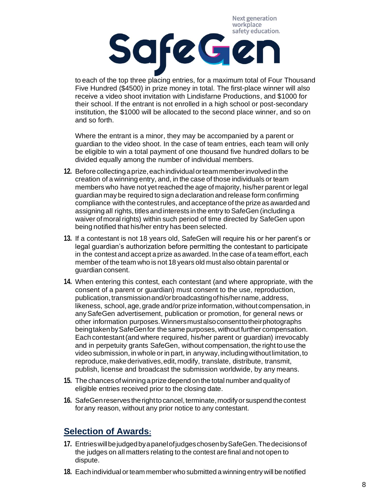Next generation workplace

# safety education. SafeGen

to each of the top three placing entries, for a maximum total of Four Thousand Five Hundred (\$4500) in prize money in total. The first-place winner will also receive a video shoot invitation with Lindisfarne Productions, and \$1000 for their school. If the entrant is not enrolled in a high school or post-secondary institution, the \$1000 will be allocated to the second place winner, and so on and so forth.

Where the entrant is a minor, they may be accompanied by a parent or guardian to the video shoot. In the case of team entries, each team will only be eligible to win a total payment of one thousand five hundred dollars to be divided equally among the number of individual members.

- 12. Before collecting a prize, each individual or team member involved in the creation of a winning entry, and, in the case of those individuals or team members who have not yet reached the age of majority, his/her parent or legal guardian maybe required to sign adeclaration and release form confirming compliance with the contestrules, and acceptance of the prize asawarded and assigningall rights, titles and interests in the entry to SafeGen (includinga waiver ofmoral rights) within such period of time directed by SafeGen upon being notified that his/her entry has been selected.
- **13.** If a contestant is not 18 years old, SafeGen will require his or her parent's or legal guardian's authorization before permitting the contestant to participate in the contest and accept a prize as awarded. In the case of a team effort, each member of the team who is not 18 years old must also obtain parental or guardian consent.
- **14.** When entering this contest, each contestant (and where appropriate, with the consent of a parent or guardian) must consent to the use, reproduction, publication, transmission and/or broadcasting of his/her name, address, likeness, school, age, grade and/or prize information, without compensation, in anySafeGen advertisement, publication or promotion, for general news or other information purposes.Winnersmustalsoconsenttotheirphotographs beingtakenbySafeGenfor the same purposes, withoutfurther compensation. Each contestant(and where required, his/her parent or guardian) irrevocably and in perpetuity grants SafeGen, without compensation, the right to use the video submission, in whole or in part, in anyway,includingwithoutlimitation,to reproduce,makederivatives,edit,modify, translate, distribute, transmit, publish, license and broadcast the submission worldwide, by any means.
- **15.** The chancesofwinningaprize depend on the total number and quality of eligible entries received prior to the closing date.
- **16.** SafeGen reserves the right to cancel, terminate, modify or suspend the contest forany reason, without any prior notice to any contestant.

#### <span id="page-7-0"></span>**Selection of Awards:**

- **17.** EntrieswillbejudgedbyapanelofjudgeschosenbySafeGen.Thedecisionsof the judges on all matters relating to the contest are final and not open to dispute.
- **18.** Each individual orteam member who submitted a winningentrywill be notified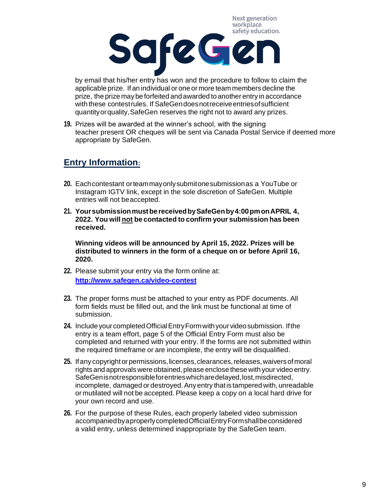Next generation workplace



by email that his/her entry has won and the procedure to follow to claim the applicable prize. If an individual or one or more team members decline the prize, the prize may be forfeited andawarded to another entry in accordance with these contest rules. If SafeGen does not receive entries of sufficient quantityorquality,SafeGen reserves the right not to award any prizes.

**19.** Prizes will be awarded at the winner's school, with the signing teacher present OR cheques will be sent via Canada Postal Service if deemed more appropriate by SafeGen.

#### **Entry Information:**

- **20.** Each contestant orteammay only submitone submission as a YouTube or Instagram IGTV link, except in the sole discretion of SafeGen. Multiple entries will not beaccepted.
- **21. YoursubmissionmustbereceivedbySafeGenby4:00pmonAPRIL 4, 2022. You will not be contacted to confirm your submission has been received.**

**Winning videos will be announced by April 15, 2022. Prizes will be distributed to winners in the form of a cheque on or before April 16, 2020.**

- **22.** Please submit your entry via the form online at: **<http://www.safegen.ca/video-contest>**
- **23.** The proper forms must be attached to your entry as PDF documents. All form fields must be filled out, and the link must be functional at time of submission.
- **24.** IncludeyourcompletedOfficialEntryFormwithyourvideosubmission. Ifthe entry is a team effort, page 5 of the Official Entry Form must also be completed and returned with your entry. If the forms are not submitted within the required timeframe or are incomplete, the entry will be disqualified.
- **25.** If any copyright or permissions, licenses, clearances, releases, waivers of moral rights and approvalswere obtained, please enclose these with your video entry. SafeGenisnotresponsibleforentrieswhicharedelayed,lost,misdirected, incomplete, damaged or destroyed. Any entry that is tampered with, unreadable or mutilated will not be accepted. Please keep a copy on a local hard drive for your own record and use.
- **26.** For the purpose of these Rules, each properly labeled video submission accompaniedbyaproperlycompletedOfficialEntryFormshallbeconsidered a valid entry, unless determined inappropriate by the SafeGen team.